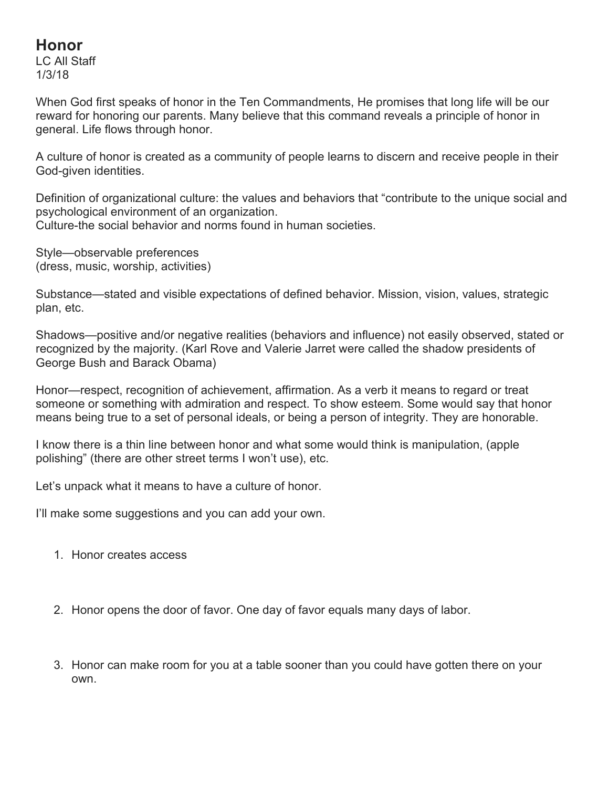## **Honor**

LC All Staff 1/3/18

When God first speaks of honor in the Ten Commandments, He promises that long life will be our reward for honoring our parents. Many believe that this command reveals a principle of honor in general. Life flows through honor.

A culture of honor is created as a community of people learns to discern and receive people in their God-given identities.

Definition of organizational culture: the values and behaviors that "contribute to the unique social and psychological environment of an organization. Culture-the social behavior and norms found in human societies.

Style—observable preferences (dress, music, worship, activities)

Substance—stated and visible expectations of defined behavior. Mission, vision, values, strategic plan, etc.

Shadows—positive and/or negative realities (behaviors and influence) not easily observed, stated or recognized by the majority. (Karl Rove and Valerie Jarret were called the shadow presidents of George Bush and Barack Obama)

Honor—respect, recognition of achievement, affirmation. As a verb it means to regard or treat someone or something with admiration and respect. To show esteem. Some would say that honor means being true to a set of personal ideals, or being a person of integrity. They are honorable.

I know there is a thin line between honor and what some would think is manipulation, (apple polishing" (there are other street terms I won't use), etc.

Let's unpack what it means to have a culture of honor.

I'll make some suggestions and you can add your own.

- 1. Honor creates access
- 2. Honor opens the door of favor. One day of favor equals many days of labor.
- 3. Honor can make room for you at a table sooner than you could have gotten there on your own.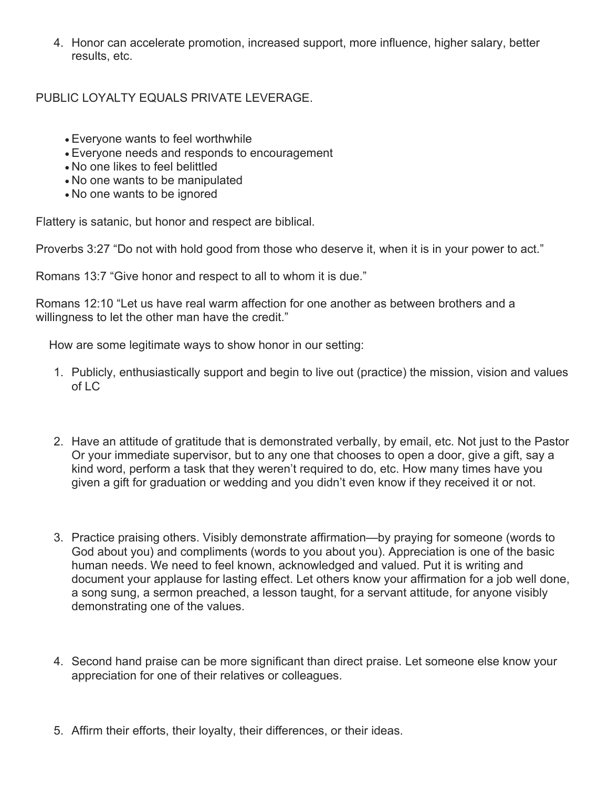4. Honor can accelerate promotion, increased support, more influence, higher salary, better results, etc.

## PUBLIC LOYALTY EQUALS PRIVATE LEVERAGE.

- Everyone wants to feel worthwhile
- Everyone needs and responds to encouragement
- No one likes to feel belittled
- No one wants to be manipulated
- No one wants to be ignored

Flattery is satanic, but honor and respect are biblical.

Proverbs 3:27 "Do not with hold good from those who deserve it, when it is in your power to act."

Romans 13:7 "Give honor and respect to all to whom it is due."

Romans 12:10 "Let us have real warm affection for one another as between brothers and a willingness to let the other man have the credit."

How are some legitimate ways to show honor in our setting:

- 1. Publicly, enthusiastically support and begin to live out (practice) the mission, vision and values of LC
- 2. Have an attitude of gratitude that is demonstrated verbally, by email, etc. Not just to the Pastor Or your immediate supervisor, but to any one that chooses to open a door, give a gift, say a kind word, perform a task that they weren't required to do, etc. How many times have you given a gift for graduation or wedding and you didn't even know if they received it or not.
- 3. Practice praising others. Visibly demonstrate affirmation—by praying for someone (words to God about you) and compliments (words to you about you). Appreciation is one of the basic human needs. We need to feel known, acknowledged and valued. Put it is writing and document your applause for lasting effect. Let others know your affirmation for a job well done, a song sung, a sermon preached, a lesson taught, for a servant attitude, for anyone visibly demonstrating one of the values.
- 4. Second hand praise can be more significant than direct praise. Let someone else know your appreciation for one of their relatives or colleagues.
- 5. Affirm their efforts, their loyalty, their differences, or their ideas.